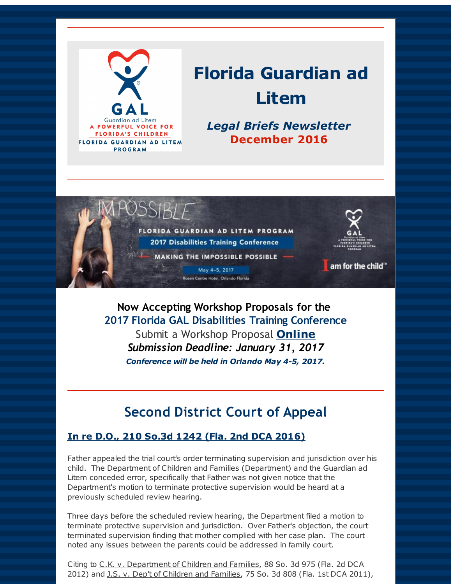

# **Florida Guardian ad Litem**

*Legal Briefs Newsletter* **December 2016**



May 4-5, 2017 Centre Hotel, Orlando Florida

am for the child"

**Now Accepting Workshop Proposals for the 2017 Florida GAL Disabilities Training Conference** Submit a Workshop Proposal **[Online](http://r20.rs6.net/tn.jsp?f=001T6VN1HaRWnCoDV2z8WzUdUxEi-fQqFWix3znNm1rov-O-vSNq4MZafF6j25DiN7Td-84Se3W2cuR0iGs9MmivhjcB5WjMpWrx7EWUu4H8N3kPkunLY0pTPd6xNrfb-vZWuoRMEIh3D5vsokExrVR7OHCyYSKp50Uh8IRestFoWHrx1Zi7QUzcvXby9fHQ5M81VW3Ya2LdImm55HWEeeqeVEQaE6zoffvf8HY1aXP5dGjHg8RHrq4lIwHb5wWTPDh&c=&ch=)** *Submission Deadline: January 31, 2017 Conference will be held in Orlando May 4-5, 2017.*

# **Second District Court of Appeal**

### **In re D.O., 210 So.3d 1242 (Fla. 2nd DCA 2016)**

Father appealed the trial court's order terminating supervision and jurisdiction over his child. The Department of Children and Families (Department) and the Guardian ad Litem conceded error, specifically that Father was not given notice that the Department's motion to terminate protective supervision would be heard at a previously scheduled review hearing.

Three days before the scheduled review hearing, the Department filed a motion to terminate protective supervision and jurisdiction. Over Father's objection, the court terminated supervision finding that mother complied with her case plan. The court noted any issues between the parents could be addressed in family court.

Citing to C.K. v. Department of Children and Families, 88 So. 3d 975 (Fla. 2d DCA 2012) and J.S. v. Dep't of Children and Families, 75 So. 3d 808 (Fla. 1st DCA 2011),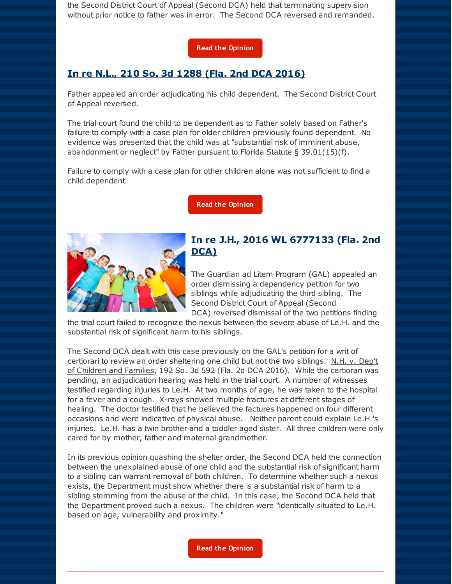the Second District Court of Appeal (Second DCA) held that terminating supervision without prior notice to father was in error. The Second DCA reversed and remanded.

#### **Read the [Opinion](http://r20.rs6.net/tn.jsp?f=001T6VN1HaRWnCoDV2z8WzUdUxEi-fQqFWix3znNm1rov-O-vSNq4MZafF6j25DiN7TOOTgw9jB9-06_Pgu9HYn203TyRNhr7zDhNMa90GEuBN-1tdhPp62E8okd4SImRxf2j54QKPWM3HLCu_fiXpCK3Jr5LvXA7qUiObWRodrcrzKEgb5ITZECAlrkOvZ4Ke807twwtn8aQFRyprrf228aXvmVCzOl26hagLp9OaTHe4VKyqrbc-f-ysTw91z3XwlD2zf5ifdhfFZY_z71z3cD2rGOYyTdwoe&c=&ch=)**

#### **In re N.L., 210 So. 3d 1288 (Fla. 2nd DCA 2016)**

Father appealed an order adjudicating his child dependent. The Second District Court of Appeal reversed.

The trial court found the child to be dependent as to Father solely based on Father's failure to comply with a case plan for older children previously found dependent. No evidence was presented that the child was at "substantial risk of imminent abuse, abandonment or neglect" by Father pursuant to Florida Statute  $\S 39.01(15)(f)$ .

Failure to comply with a case plan for other children alone was not sufficient to find a child dependent.

**Read the [Opinion](http://r20.rs6.net/tn.jsp?f=001T6VN1HaRWnCoDV2z8WzUdUxEi-fQqFWix3znNm1rov-O-vSNq4MZafF6j25DiN7TjDDvnSwWOH3XQWQCUxP6Bab-YRT8mzMEGvJK-JWFNCtm6TmGN_JPNiwjIbP4vtQNqxzUGW61IYp1foFmPRGGujtW-jhozG70Th85KcDEHVDFRJgcZ_cIdgzzgE97zBgNz33iBYQ6M9PVHDIiF0i1J-gd_X6-n09aU1-kDpRPNF9d7mT9c6SBIWL-Gfss_vBkgSKdRKi4_EwSK0GM6hJiM7CJjLyUycBt&c=&ch=)**



#### **In re J.H., 2016 WL 6777133 (Fla. 2nd DCA)**

The Guardian ad Litem Program (GAL) appealed an order dismissing a dependency petition for two siblings while adjudicating the third sibling. The Second District Court of Appeal (Second DCA) reversed dismissal of the two petitions finding

the trial court failed to recognize the nexus between the severe abuse of Le.H. and the substantial risk of significant harm to his siblings.

The Second DCA dealt with this case previously on the GAL's petition for a writ of certiorari to review an order sheltering one child but not the two siblings. N.H. v. Dep't of Children and Families, 192 So. 3d 592 (Fla. 2d DCA 2016). While the certiorari was pending, an adjudication hearing was held in the trial court. A number of witnesses testified regarding injuries to Le.H. At two months of age, he was taken to the hospital for a fever and a cough. X-rays showed multiple fractures at different stages of healing. The doctor testified that he believed the factures happened on four different occasions and were indicative of physical abuse. Neither parent could explain Le.H.'s injuries. Le.H. has a twin brother and a toddler aged sister. All three children were only cared for by mother, father and maternal grandmother.

In its previous opinion quashing the shelter order, the Second DCA held the connection between the unexplained abuse of one child and the substantial risk of significant harm to a sibling can warrant removal of both children. To determine whether such a nexus exists, the Department must show whether there is a substantial risk of harm to a sibling stemming from the abuse of the child. In this case, the Second DCA held that the Department proved such a nexus. The children were "identically situated to Le.H. based on age, vulnerability and proximity."

**Read the [Opinion](http://r20.rs6.net/tn.jsp?f=001T6VN1HaRWnCoDV2z8WzUdUxEi-fQqFWix3znNm1rov-O-vSNq4MZafF6j25DiN7TTgl8NxdbQ1LScpJ5er4NPN4WCH0O9UzkHIdCzwEwiUW5VjWEHTlKtuWKHd_1frfhazL2XAe_uXvS7J2y0HUnMt0CoYWzEssBbuoobaIyXvss95uK1oCkKGiboL9YYUepA0FtINUvF6XcWShyV4YpPBuFiBkA3SDlAO16243tB1ZSc6d7cjUxebhojyie-88SuDtqgArARgHkXmO5tcqQWUsn_3jxTTkHoLNs1yZQT54=&c=&ch=)**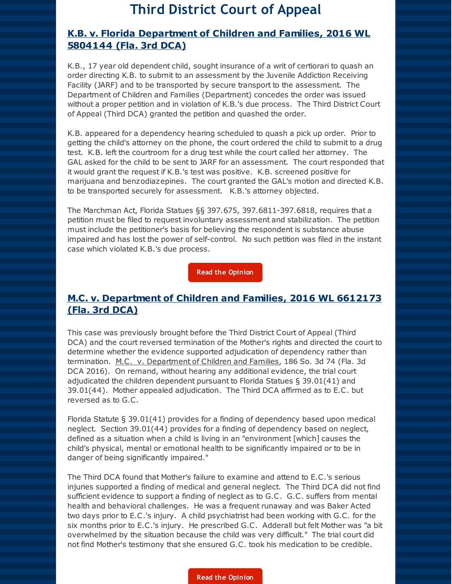### **Third District Court of Appeal**

#### **K.B. v. Florida Department of Children and Families, 2016 WL 5804144 (Fla. 3rd DCA)**

K.B., 17 year old dependent child, sought insurance of a writ of certiorari to quash an order directing K.B. to submit to an assessment by the Juvenile Addiction Receiving Facility (JARF) and to be transported by secure transport to the assessment. The Department of Children and Families (Department) concedes the order was issued without a proper petition and in violation of K.B.'s due process. The Third District Court of Appeal (Third DCA) granted the petition and quashed the order.

K.B. appeared for a dependency hearing scheduled to quash a pick up order. Prior to getting the child's attorney on the phone, the court ordered the child to submit to a drug test. K.B. left the courtroom for a drug test while the court called her attorney. The GAL asked for the child to be sent to JARF for an assessment. The court responded that it would grant the request if K.B.'s test was positive. K.B. screened positive for marijuana and benzodiazepines. The court granted the GAL's motion and directed K.B. to be transported securely for assessment. K.B.'s attorney objected.

The Marchman Act, Florida Statues §§ 397.675, 397.6811-397.6818, requires that a petition must be filed to request involuntary assessment and stabilization. The petition must include the petitioner's basis for believing the respondent is substance abuse impaired and has lost the power of self-control. No such petition was filed in the instant case which violated K.B.'s due process.

**Read the [Opinion](http://r20.rs6.net/tn.jsp?f=001T6VN1HaRWnCoDV2z8WzUdUxEi-fQqFWix3znNm1rov-O-vSNq4MZafF6j25DiN7T-RdsIsbPKrNM8TJpYOuq_tY6rASbf5houzBjk4AD67_i_qjBuE3tIvF4WVA-FIt3Zaq_j8DPt35UW7qDIqD75w41zP6cDb5Oyi1pRih-Tu-ysD8OOYaTBdqKq5DhsHAwbPfqZ6oyccj-HMAxR2wPRg==&c=&ch=)**

#### **M.C. v. Department of Children and Families, 2016 WL 6612173 (Fla. 3rd DCA)**

This case was previously brought before the Third District Court of Appeal (Third DCA) and the court reversed termination of the Mother's rights and directed the court to determine whether the evidence supported adjudication of dependency rather than termination. M.C. v. Department of Children and Families, 186 So. 3d 74 (Fla. 3d DCA 2016). On remand, without hearing any additional evidence, the trial court adjudicated the children dependent pursuant to Florida Statues § 39.01(41) and 39.01(44). Mother appealed adjudication. The Third DCA affirmed as to E.C. but reversed as to G.C.

Florida Statute § 39.01(41) provides for a finding of dependency based upon medical neglect. Section 39.01(44) provides for a finding of dependency based on neglect, defined as a situation when a child is living in an "environment [which] causes the child's physical, mental or emotional health to be significantly impaired or to be in danger of being significantly impaired."

The Third DCA found that Mother's failure to examine and attend to E.C.'s serious injuries supported a finding of medical and general neglect. The Third DCA did not find sufficient evidence to support a finding of neglect as to G.C. G.C. suffers from mental health and behavioral challenges. He was a frequent runaway and was Baker Acted two days prior to E.C.'s injury. A child psychiatrist had been working with G.C. for the six months prior to E.C.'s injury. He prescribed G.C. Adderall but felt Mother was "a bit overwhelmed by the situation because the child was very difficult." The trial court did not find Mother's testimony that she ensured G.C. took his medication to be credible.

#### **Read the [Opinion](http://r20.rs6.net/tn.jsp?f=001T6VN1HaRWnCoDV2z8WzUdUxEi-fQqFWix3znNm1rov-O-vSNq4MZafF6j25DiN7TPggb_BPOQriFtn3dk-EcUY3ucd7fmQMDUlK7cdcaeShJZQIALKUTJv5TEuyBoqkhn9Xy1qcuy_hQH7zVFJpFl5y8jlnO1bVNg0VGnIAlMLZQ2JGtaUkY9lCGWT1jLI1WinJrxmFMBNy1-l7VJ0RbOA==&c=&ch=)**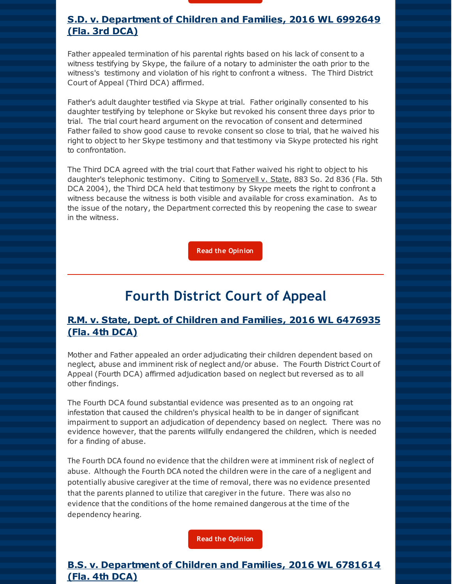

Father appealed termination of his parental rights based on his lack of consent to a witness testifying by Skype, the failure of a notary to administer the oath prior to the witness's testimony and violation of his right to confront a witness. The Third District Court of Appeal (Third DCA) affirmed.

Father's adult daughter testified via Skype at trial. Father originally consented to his daughter testifying by telephone or Skyke but revoked his consent three days prior to trial. The trial court heard argument on the revocation of consent and determined Father failed to show good cause to revoke consent so close to trial, that he waived his right to object to her Skype testimony and that testimony via Skype protected his right to confrontation.

The Third DCA agreed with the trial court that Father waived his right to object to his daughter's telephonic testimony. Citing to Somervell v. State, 883 So. 2d 836 (Fla. 5th DCA 2004), the Third DCA held that testimony by Skype meets the right to confront a witness because the witness is both visible and available for cross examination. As to the issue of the notary, the Department corrected this by reopening the case to swear in the witness.

**Read the [Opinion](http://r20.rs6.net/tn.jsp?f=001T6VN1HaRWnCoDV2z8WzUdUxEi-fQqFWix3znNm1rov-O-vSNq4MZafF6j25DiN7Tm8u3fl7-W1s9OvrbYGdnDsDrK9zSE5-gtsXRZEuo_mno4kjPr_G8l86d0i14JqYgSDc94iZ9kDA9ZFHf2oJOo3MIJUmTprn1LmVMuuBTHe2wkNL2L6CG4bnSuhm0rDwE_z4fLT_PghA_XBNXgeTD5g==&c=&ch=)**

## **Fourth District Court of Appeal**

#### **R.M. v. State, Dept. of Children and Families, 2016 WL 6476935 (Fla. 4th DCA)**

Mother and Father appealed an order adjudicating their children dependent based on neglect, abuse and imminent risk of neglect and/or abuse. The Fourth District Court of Appeal (Fourth DCA) affirmed adjudication based on neglect but reversed as to all other findings.

The Fourth DCA found substantial evidence was presented as to an ongoing rat infestation that caused the children's physical health to be in danger of significant impairment to support an adjudication of dependency based on neglect. There was no evidence however, that the parents willfully endangered the children, which is needed for a finding of abuse.

The Fourth DCA found no evidence that the children were at imminent risk of neglect of abuse. Although the Fourth DCA noted the children were in the care of a negligent and potentially abusive caregiver at the time of removal, there was no evidence presented that the parents planned to utilize that caregiver in the future. There was also no evidence that the conditions of the home remained dangerous at the time of the dependency hearing.

**Read the [Opinion](http://r20.rs6.net/tn.jsp?f=001T6VN1HaRWnCoDV2z8WzUdUxEi-fQqFWix3znNm1rov-O-vSNq4MZafF6j25DiN7TgLdwDYaLeZxKN8fKcWgslfpE_W9hxVbYr0djIHZLf1B3Dv6JS0sFENzYLp3DDUEmRYmOBAbMC3OwKrock_SQSp1qEcKOMpykq420n10GtwZu2vIeTzpNrQKiuM_olkoMCWc2Grho9vRW7YE9FkUH-VS6_tquWjKYF93UxAU3uRyqs6BG8CrUOA==&c=&ch=)**

### **B.S. v. Department of Children and Families, 2016 WL 6781614 (Fla. 4th DCA)**